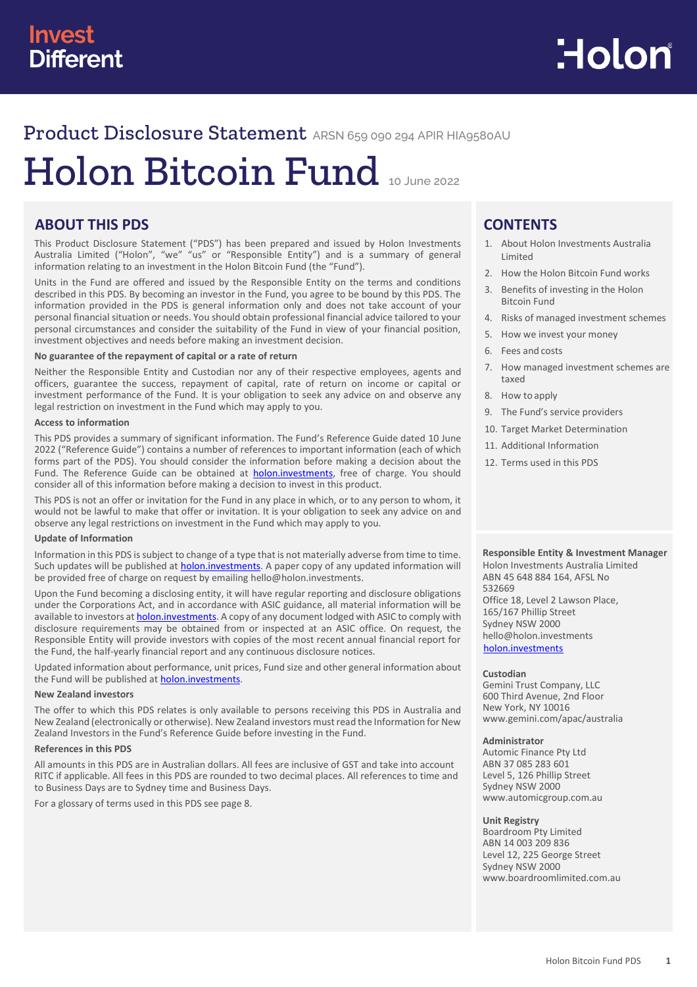# Product Disclosure Statement ARSN 659 090 294 APIR HIA9580AU

# Holon Bitcoin Fund <sup>10</sup> June <sup>2022</sup>

# **ABOUT THIS PDS**

This Product Disclosure Statement ("PDS") has been prepared and issued by Holon Investments Australia Limited ("Holon", "we" "us" or "Responsible Entity") and is a summary of general information relating to an investment in the Holon Bitcoin Fund (the "Fund").

Units in the Fund are offered and issued by the Responsible Entity on the terms and conditions described in this PDS. By becoming an investor in the Fund, you agree to be bound by this PDS. The information provided in the PDS is general information only and does not take account of your personal financial situation or needs. You should obtain professional financial advice tailored to your personal circumstances and consider the suitability of the Fund in view of your financial position, investment objectives and needs before making an investment decision.

#### **No guarantee of the repayment of capital or a rate of return**

Neither the Responsible Entity and Custodian nor any of their respective employees, agents and officers, guarantee the success, repayment of capital, rate of return on income or capital or investment performance of the Fund. It is your obligation to seek any advice on and observe any legal restriction on investment in the Fund which may apply to you.

#### **Access to information**

This PDS provides a summary of significant information. The Fund's Reference Guide dated 10 June 2022 ("Reference Guide") contains a number of references to important information (each of which forms part of the PDS). You should consider the information before making a decision about the Fund. The Reference Guide can be obtained at [holon.investments,](http://holon.investments/) free of charge. You should consider all of this information before making a decision to invest in this product.

This PDS is not an offer or invitation for the Fund in any place in which, or to any person to whom, it would not be lawful to make that offer or invitation. It is your obligation to seek any advice on and observe any legal restrictions on investment in the Fund which may apply to you.

#### **Update of Information**

Information in this PDS is subject to change of a type that is not materially adverse from time to time. Such updates will be published at **holon.investments**. A paper copy of any updated information will be provided free of charge on request by emailing hello@holon.investments.

Upon the Fund becoming a disclosing entity, it will have regular reporting and disclosure obligations under the Corporations Act, and in accordance with ASIC guidance, all material information will be available to investors at **holon.investments**. A copy of any document lodged with ASIC to comply with disclosure requirements may be obtained from or inspected at an ASIC office. On request, the Responsible Entity will provide investors with copies of the most recent annual financial report for the Fund, the half-yearly financial report and any continuous disclosure notices.

Updated information about performance, unit prices, Fund size and other general information about the Fund will be published at **holon.investments**.

#### **New Zealand investors**

The offer to which this PDS relates is only available to persons receiving this PDS in Australia and New Zealand (electronically or otherwise). New Zealand investors must read the Information for New Zealand Investors in the Fund's Reference Guide before investing in the Fund.

#### **References in this PDS**

All amounts in this PDS are in Australian dollars. All fees are inclusive of GST and take into account RITC if applicable. All fees in this PDS are rounded to two decimal places. All references to time and to Business Days are to Sydney time and Business Days.

For a glossary of terms used in this PDS see page 8.

# **CONTENTS**

- 1. About Holon Investments Australia Limited
- 2. How the Holon Bitcoin Fund works
- 3. Benefits of investing in the Holon Bitcoin Fund
- 4. Risks of managed investment schemes
- 5. How we invest your money
- 6. Fees and costs
- 7. How managed investment schemes are taxed
- 8. How to apply
- 9. The Fund's service providers
- 10. Target Market Determination
- 11. Additional Information
- 12. Terms used in this PDS

## **Responsible Entity & Investment Manager**

Holon Investments Australia Limited ABN 45 648 884 164, AFSL No 532669 Office 18, Level 2 Lawson Place, 165/167 Phillip Street Sydney NSW 2000 hello@holon.investments [holon.investments](http://holon.investments/)

#### **Custodian**

Gemini Trust Company, LLC 600 Third Avenue, 2nd Floor New York, NY 10016 [www.gemini.com/apac/australia](http://www.gemini.com/apac/australia)

#### **Administrator**

Automic Finance Pty Ltd ABN 37 085 283 601 Level 5, 126 Phillip Street Sydney NSW 2000 www.automicgroup.com.au

#### **Unit Registry**

Boardroom Pty Limited ABN 14 003 209 836 Level 12, 225 George Street Sydney NSW 2000 [www.boardroomlimited.com.au](http://www.boardroomlimited.com.au/)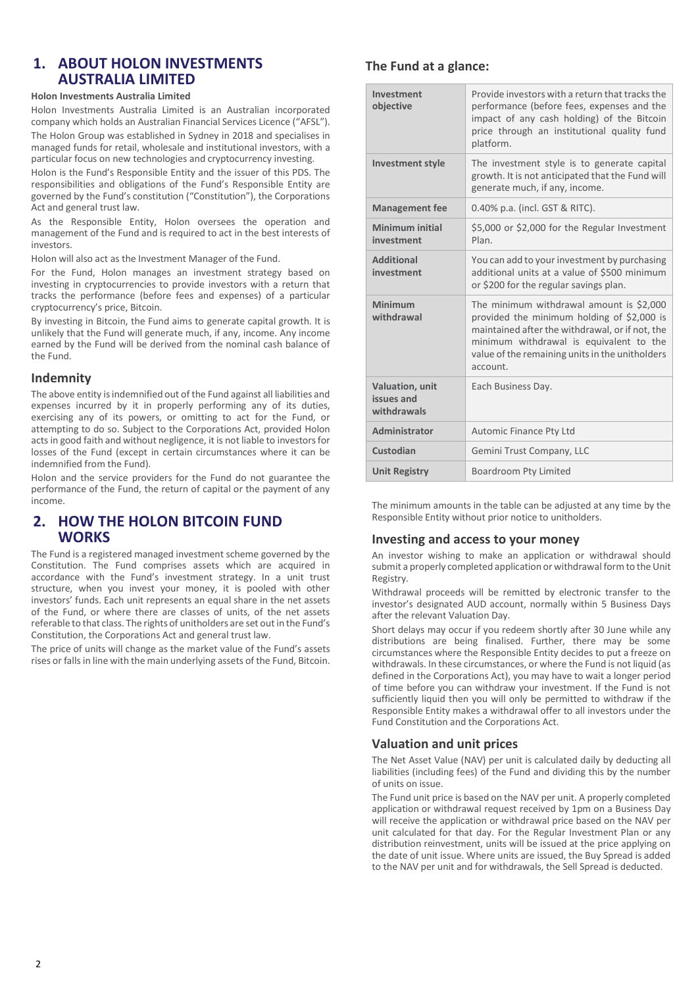# **1. ABOUT HOLON INVESTMENTS AUSTRALIA LIMITED**

#### **Holon Investments Australia Limited**

Holon Investments Australia Limited is an Australian incorporated company which holds an Australian Financial Services Licence ("AFSL").

The Holon Group was established in Sydney in 2018 and specialises in managed funds for retail, wholesale and institutional investors, with a particular focus on new technologies and cryptocurrency investing.

Holon is the Fund's Responsible Entity and the issuer of this PDS. The responsibilities and obligations of the Fund's Responsible Entity are governed by the Fund's constitution ("Constitution"), the Corporations Act and general trust law.

As the Responsible Entity, Holon oversees the operation and management of the Fund and is required to act in the best interests of investors.

Holon will also act as the Investment Manager of the Fund.

For the Fund, Holon manages an investment strategy based on investing in cryptocurrencies to provide investors with a return that tracks the performance (before fees and expenses) of a particular cryptocurrency's price, Bitcoin.

By investing in Bitcoin, the Fund aims to generate capital growth. It is unlikely that the Fund will generate much, if any, income. Any income earned by the Fund will be derived from the nominal cash balance of the Fund.

## **Indemnity**

The above entity is indemnified out of the Fund against all liabilities and expenses incurred by it in properly performing any of its duties, exercising any of its powers, or omitting to act for the Fund, or attempting to do so. Subject to the Corporations Act, provided Holon acts in good faith and without negligence, it is not liable to investors for losses of the Fund (except in certain circumstances where it can be indemnified from the Fund).

Holon and the service providers for the Fund do not guarantee the performance of the Fund, the return of capital or the payment of any income.

# **2. HOW THE HOLON BITCOIN FUND WORKS**

The Fund is a registered managed investment scheme governed by the Constitution. The Fund comprises assets which are acquired in accordance with the Fund's investment strategy. In a unit trust structure, when you invest your money, it is pooled with other investors' funds. Each unit represents an equal share in the net assets of the Fund, or where there are classes of units, of the net assets referable to that class. The rights of unitholders are set out in the Fund's Constitution, the Corporations Act and general trust law.

The price of units will change as the market value of the Fund's assets rises or falls in line with the main underlying assets of the Fund, Bitcoin.

# **The Fund at a glance:**

| Investment<br>objective                      | Provide investors with a return that tracks the<br>performance (before fees, expenses and the<br>impact of any cash holding) of the Bitcoin<br>price through an institutional quality fund<br>platform.                                             |  |
|----------------------------------------------|-----------------------------------------------------------------------------------------------------------------------------------------------------------------------------------------------------------------------------------------------------|--|
| <b>Investment style</b>                      | The investment style is to generate capital<br>growth. It is not anticipated that the Fund will<br>generate much, if any, income.                                                                                                                   |  |
| <b>Management fee</b>                        | 0.40% p.a. (incl. GST & RITC).                                                                                                                                                                                                                      |  |
| Minimum initial<br>investment                | \$5,000 or \$2,000 for the Regular Investment<br>Plan.                                                                                                                                                                                              |  |
| <b>Additional</b><br>investment              | You can add to your investment by purchasing<br>additional units at a value of \$500 minimum<br>or \$200 for the regular savings plan.                                                                                                              |  |
| <b>Minimum</b><br>withdrawal                 | The minimum withdrawal amount is \$2,000<br>provided the minimum holding of \$2,000 is<br>maintained after the withdrawal, or if not, the<br>minimum withdrawal is equivalent to the<br>value of the remaining units in the unitholders<br>account. |  |
| Valuation, unit<br>issues and<br>withdrawals | Each Business Day.                                                                                                                                                                                                                                  |  |
| Administrator                                | Automic Finance Pty Ltd                                                                                                                                                                                                                             |  |
| Custodian                                    | Gemini Trust Company, LLC                                                                                                                                                                                                                           |  |
| <b>Unit Registry</b>                         | Boardroom Pty Limited                                                                                                                                                                                                                               |  |

The minimum amounts in the table can be adjusted at any time by the Responsible Entity without prior notice to unitholders.

## **Investing and access to your money**

An investor wishing to make an application or withdrawal should submit a properly completed application or withdrawal form to the Unit Registry.

Withdrawal proceeds will be remitted by electronic transfer to the investor's designated AUD account, normally within 5 Business Days after the relevant Valuation Day.

Short delays may occur if you redeem shortly after 30 June while any distributions are being finalised. Further, there may be some circumstances where the Responsible Entity decides to put a freeze on withdrawals. In these circumstances, or where the Fund is not liquid (as defined in the Corporations Act), you may have to wait a longer period of time before you can withdraw your investment. If the Fund is not sufficiently liquid then you will only be permitted to withdraw if the Responsible Entity makes a withdrawal offer to all investors under the Fund Constitution and the Corporations Act.

# **Valuation and unit prices**

The Net Asset Value (NAV) per unit is calculated daily by deducting all liabilities (including fees) of the Fund and dividing this by the number of units on issue.

The Fund unit price is based on the NAV per unit. A properly completed application or withdrawal request received by 1pm on a Business Day will receive the application or withdrawal price based on the NAV per unit calculated for that day. For the Regular Investment Plan or any distribution reinvestment, units will be issued at the price applying on the date of unit issue. Where units are issued, the Buy Spread is added to the NAV per unit and for withdrawals, the Sell Spread is deducted.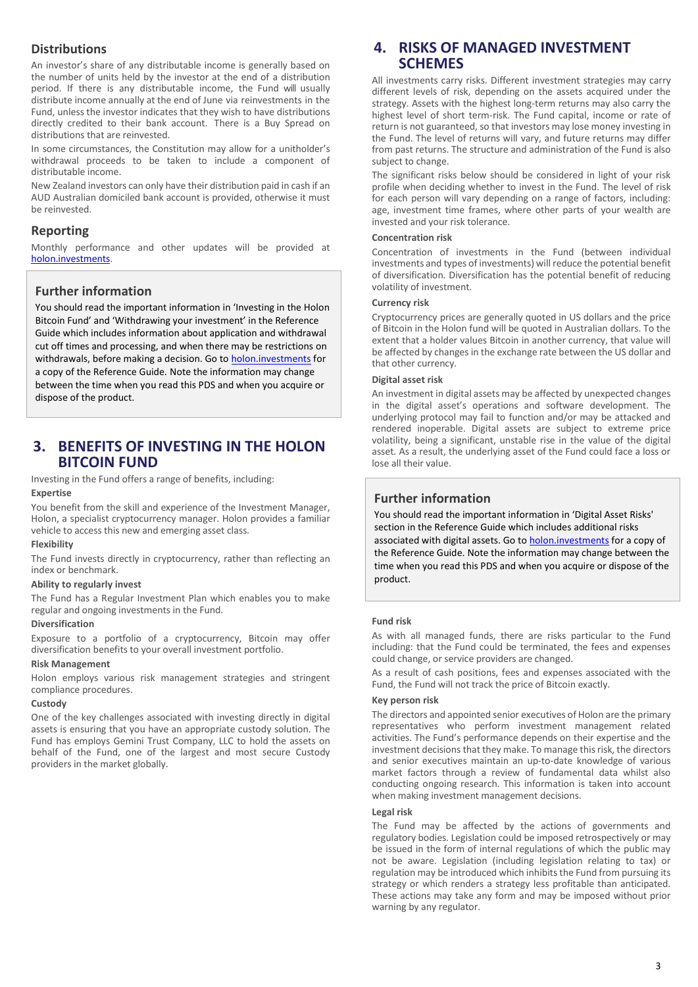# **Distributions**

An investor's share of any distributable income is generally based on the number of units held by the investor at the end of a distribution period. If there is any distributable income, the Fund will usually distribute income annually at the end of June via reinvestments in the Fund, unless the investor indicates that they wish to have distributions directly credited to their bank account. There is a Buy Spread on distributions that are reinvested.

In some circumstances, the Constitution may allow for a unitholder's withdrawal proceeds to be taken to include a component of distributable income.

New Zealand investors can only have their distribution paid in cash if an AUD Australian domiciled bank account is provided, otherwise it must be reinvested.

# **Reporting**

Monthly performance and other updates will be provided at [holon.investments.](http://holon.investments/)

# **Further information**

You should read the important information in 'Investing in the Holon Bitcoin Fund' and 'Withdrawing your investment' in the Reference Guide which includes information about application and withdrawal cut off times and processing, and when there may be restrictions on withdrawals, before making a decision. Go t[o holon.investments](http://holon.investments/) for a copy of the Reference Guide. Note the information may change between the time when you read this PDS and when you acquire or dispose of the product.

# **3. BENEFITS OF INVESTING IN THE HOLON BITCOIN FUND**

Investing in the Fund offers a range of benefits, including:

#### **Expertise**

You benefit from the skill and experience of the Investment Manager, Holon, a specialist cryptocurrency manager. Holon provides a familiar vehicle to access this new and emerging asset class.

#### **Flexibility**

The Fund invests directly in cryptocurrency, rather than reflecting an index or benchmark.

#### **Ability to regularly invest**

The Fund has a Regular Investment Plan which enables you to make regular and ongoing investments in the Fund.

#### **Diversification**

Exposure to a portfolio of a cryptocurrency, Bitcoin may offer diversification benefits to your overall investment portfolio.

#### **Risk Management**

Holon employs various risk management strategies and stringent compliance procedures.

#### **Custody**

One of the key challenges associated with investing directly in digital assets is ensuring that you have an appropriate custody solution. The Fund has employs Gemini Trust Company, LLC to hold the assets on behalf of the Fund, one of the largest and most secure Custody providers in the market globally.

# **4. RISKS OF MANAGED INVESTMENT SCHEMES**

All investments carry risks. Different investment strategies may carry different levels of risk, depending on the assets acquired under the strategy. Assets with the highest long-term returns may also carry the highest level of short term-risk. The Fund capital, income or rate of return is not guaranteed, so that investors may lose money investing in the Fund. The level of returns will vary, and future returns may differ from past returns. The structure and administration of the Fund is also subject to change.

The significant risks below should be considered in light of your risk profile when deciding whether to invest in the Fund. The level of risk for each person will vary depending on a range of factors, including: age, investment time frames, where other parts of your wealth are invested and your risk tolerance.

#### **Concentration risk**

Concentration of investments in the Fund (between individual investments and types of investments) will reduce the potential benefit of diversification. Diversification has the potential benefit of reducing volatility of investment.

#### **Currency risk**

Cryptocurrency prices are generally quoted in US dollars and the price of Bitcoin in the Holon fund will be quoted in Australian dollars. To the extent that a holder values Bitcoin in another currency, that value will be affected by changes in the exchange rate between the US dollar and that other currency.

#### **Digital asset risk**

An investment in digital assets may be affected by unexpected changes in the digital asset's operations and software development. The underlying protocol may fail to function and/or may be attacked and rendered inoperable. Digital assets are subject to extreme price volatility, being a significant, unstable rise in the value of the digital asset. As a result, the underlying asset of the Fund could face a loss or lose all their value.

# **Further information**

You should read the important information in 'Digital Asset Risks' section in the Reference Guide which includes additional risks associated with digital assets. Go t[o holon.investments](http://holon.investments/) for a copy of the Reference Guide. Note the information may change between the time when you read this PDS and when you acquire or dispose of the product.

#### **Fund risk**

As with all managed funds, there are risks particular to the Fund including: that the Fund could be terminated, the fees and expenses could change, or service providers are changed.

As a result of cash positions, fees and expenses associated with the Fund, the Fund will not track the price of Bitcoin exactly.

#### **Key person risk**

The directors and appointed senior executives of Holon are the primary representatives who perform investment management related activities. The Fund's performance depends on their expertise and the investment decisions that they make. To manage this risk, the directors and senior executives maintain an up-to-date knowledge of various market factors through a review of fundamental data whilst also conducting ongoing research. This information is taken into account when making investment management decisions.

#### **Legal risk**

The Fund may be affected by the actions of governments and regulatory bodies. Legislation could be imposed retrospectively or may be issued in the form of internal regulations of which the public may not be aware. Legislation (including legislation relating to tax) or regulation may be introduced which inhibits the Fund from pursuing its strategy or which renders a strategy less profitable than anticipated. These actions may take any form and may be imposed without prior warning by any regulator.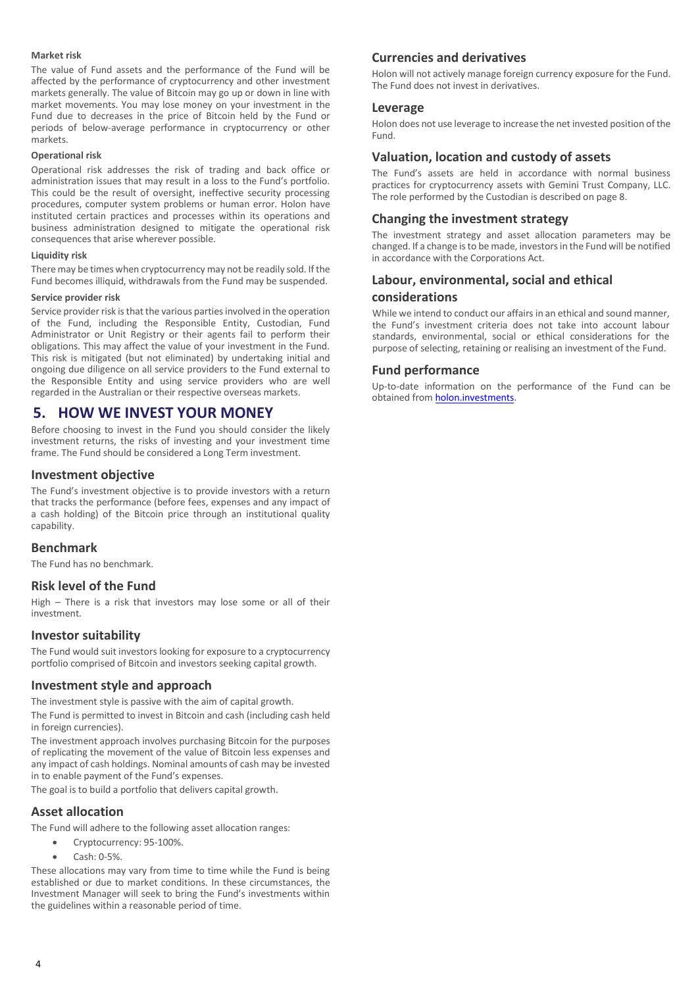#### **Market risk**

The value of Fund assets and the performance of the Fund will be affected by the performance of cryptocurrency and other investment markets generally. The value of Bitcoin may go up or down in line with market movements. You may lose money on your investment in the Fund due to decreases in the price of Bitcoin held by the Fund or periods of below-average performance in cryptocurrency or other markets.

#### **Operational risk**

Operational risk addresses the risk of trading and back office or administration issues that may result in a loss to the Fund's portfolio. This could be the result of oversight, ineffective security processing procedures, computer system problems or human error. Holon have instituted certain practices and processes within its operations and business administration designed to mitigate the operational risk consequences that arise wherever possible.

#### **Liquidity risk**

There may be times when cryptocurrency may not be readily sold. If the Fund becomes illiquid, withdrawals from the Fund may be suspended.

#### **Service provider risk**

Service provider risk is that the various parties involved in the operation of the Fund, including the Responsible Entity, Custodian, Fund Administrator or Unit Registry or their agents fail to perform their obligations. This may affect the value of your investment in the Fund. This risk is mitigated (but not eliminated) by undertaking initial and ongoing due diligence on all service providers to the Fund external to the Responsible Entity and using service providers who are well regarded in the Australian or their respective overseas markets.

# **5. HOW WE INVEST YOUR MONEY**

Before choosing to invest in the Fund you should consider the likely investment returns, the risks of investing and your investment time frame. The Fund should be considered a Long Term investment.

## **Investment objective**

The Fund's investment objective is to provide investors with a return that tracks the performance (before fees, expenses and any impact of a cash holding) of the Bitcoin price through an institutional quality capability.

# **Benchmark**

The Fund has no benchmark.

# **Risk level of the Fund**

High – There is a risk that investors may lose some or all of their investment.

#### **Investor suitability**

The Fund would suit investors looking for exposure to a cryptocurrency portfolio comprised of Bitcoin and investors seeking capital growth.

## **Investment style and approach**

The investment style is passive with the aim of capital growth.

The Fund is permitted to invest in Bitcoin and cash (including cash held in foreign currencies).

The investment approach involves purchasing Bitcoin for the purposes of replicating the movement of the value of Bitcoin less expenses and any impact of cash holdings. Nominal amounts of cash may be invested in to enable payment of the Fund's expenses.

The goal is to build a portfolio that delivers capital growth.

## **Asset allocation**

The Fund will adhere to the following asset allocation ranges:

- Cryptocurrency: 95-100%.
- Cash: 0-5%.

These allocations may vary from time to time while the Fund is being established or due to market conditions. In these circumstances, the Investment Manager will seek to bring the Fund's investments within the guidelines within a reasonable period of time.

# **Currencies and derivatives**

Holon will not actively manage foreign currency exposure for the Fund. The Fund does not invest in derivatives.

## **Leverage**

Holon does not use leverage to increase the net invested position of the Fund.

## **Valuation, location and custody of assets**

The Fund's assets are held in accordance with normal business practices for cryptocurrency assets with Gemini Trust Company, LLC. The role performed by the Custodian is described on page 8.

## **Changing the investment strategy**

The investment strategy and asset allocation parameters may be changed. If a change is to be made, investors in the Fund will be notified in accordance with the Corporations Act.

# **Labour, environmental, social and ethical considerations**

While we intend to conduct our affairs in an ethical and sound manner, the Fund's investment criteria does not take into account labour standards, environmental, social or ethical considerations for the purpose of selecting, retaining or realising an investment of the Fund.

## **Fund performance**

Up-to-date information on the performance of the Fund can be obtained fro[m holon.investments.](http://holon.investments/)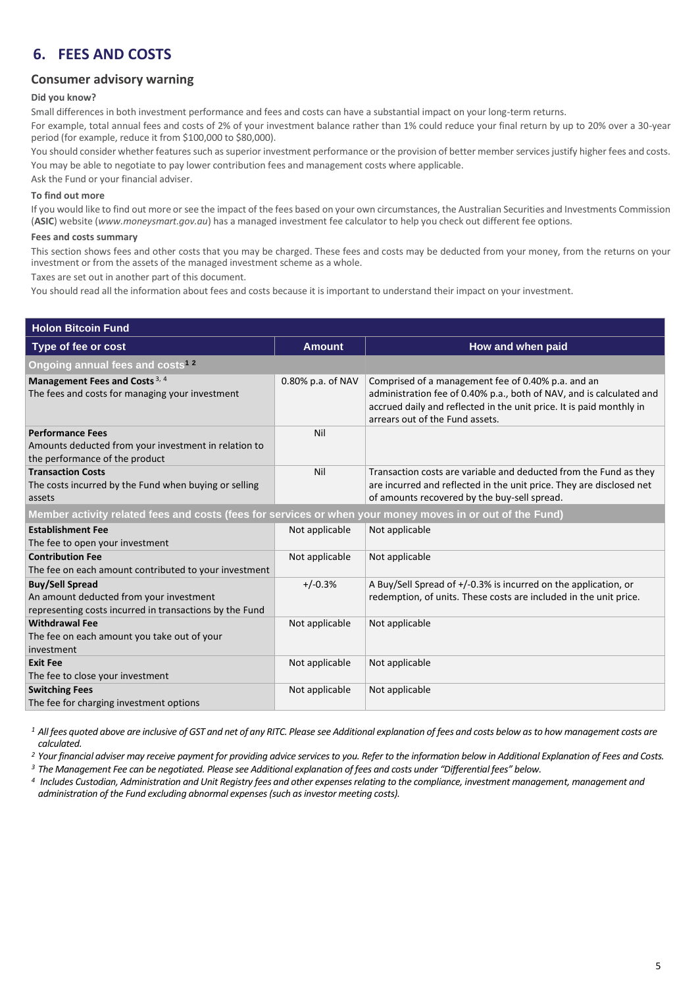# **6. FEES AND COSTS**

# **Consumer advisory warning**

#### **Did you know?**

Small differences in both investment performance and fees and costs can have a substantial impact on your long-term returns.

For example, total annual fees and costs of 2% of your investment balance rather than 1% could reduce your final return by up to 20% over a 30-year period (for example, reduce it from \$100,000 to \$80,000).

You should consider whether features such as superior investment performance or the provision of better member services justify higher fees and costs. You may be able to negotiate to pay lower contribution fees and management costs where applicable.

Ask the Fund or your financial adviser.

#### **To find out more**

If you would like to find out more or see the impact of the fees based on your own circumstances, the Australian Securities and Investments Commission (**ASIC**) website (*www.moneysmart.gov.au*) has a managed investment fee calculator to help you check out different fee options.

#### **Fees and costs summary**

This section shows fees and other costs that you may be charged. These fees and costs may be deducted from your money, from the returns on your investment or from the assets of the managed investment scheme as a whole.

Taxes are set out in another part of this document.

You should read all the information about fees and costs because it is important to understand their impact on your investment.

| <b>Holon Bitcoin Fund</b>                                                                                                    |                   |                                                                                                                                                                                                                                       |  |  |
|------------------------------------------------------------------------------------------------------------------------------|-------------------|---------------------------------------------------------------------------------------------------------------------------------------------------------------------------------------------------------------------------------------|--|--|
| Type of fee or cost                                                                                                          | <b>Amount</b>     | How and when paid                                                                                                                                                                                                                     |  |  |
| Ongoing annual fees and costs <sup>12</sup>                                                                                  |                   |                                                                                                                                                                                                                                       |  |  |
| Management Fees and Costs <sup>3, 4</sup><br>The fees and costs for managing your investment                                 | 0.80% p.a. of NAV | Comprised of a management fee of 0.40% p.a. and an<br>administration fee of 0.40% p.a., both of NAV, and is calculated and<br>accrued daily and reflected in the unit price. It is paid monthly in<br>arrears out of the Fund assets. |  |  |
| <b>Performance Fees</b><br>Amounts deducted from your investment in relation to<br>the performance of the product            | Nil               |                                                                                                                                                                                                                                       |  |  |
| <b>Transaction Costs</b><br>The costs incurred by the Fund when buying or selling<br>assets                                  | Nil               | Transaction costs are variable and deducted from the Fund as they<br>are incurred and reflected in the unit price. They are disclosed net<br>of amounts recovered by the buy-sell spread.                                             |  |  |
| Member activity related fees and costs (fees for services or when your money moves in or out of the Fund)                    |                   |                                                                                                                                                                                                                                       |  |  |
| <b>Establishment Fee</b><br>The fee to open your investment                                                                  | Not applicable    | Not applicable                                                                                                                                                                                                                        |  |  |
| <b>Contribution Fee</b><br>The fee on each amount contributed to your investment                                             | Not applicable    | Not applicable                                                                                                                                                                                                                        |  |  |
| <b>Buy/Sell Spread</b><br>An amount deducted from your investment<br>representing costs incurred in transactions by the Fund | $+/-0.3%$         | A Buy/Sell Spread of $+/-0.3\%$ is incurred on the application, or<br>redemption, of units. These costs are included in the unit price.                                                                                               |  |  |
| <b>Withdrawal Fee</b><br>The fee on each amount you take out of your<br>investment                                           | Not applicable    | Not applicable                                                                                                                                                                                                                        |  |  |
| <b>Exit Fee</b><br>The fee to close your investment                                                                          | Not applicable    | Not applicable                                                                                                                                                                                                                        |  |  |
| <b>Switching Fees</b><br>The fee for charging investment options                                                             | Not applicable    | Not applicable                                                                                                                                                                                                                        |  |  |

<sup>1</sup> All fees quoted above are inclusive of GST and net of any RITC. Please see Additional explanation of fees and costs below as to how management costs are *calculated.*

*<sup>2</sup> Your financial adviser may receive payment for providing advice services to you. Refer to the information below in Additional Explanation of Fees and Costs.* 

*<sup>3</sup> The Management Fee can be negotiated. Please see Additional explanation of fees and costs under "Differential fees" below.*

*<sup>4</sup>Includes Custodian, Administration and Unit Registry fees and other expenses relating to the compliance, investment management, management and administration of the Fund excluding abnormal expenses (such as investor meeting costs).*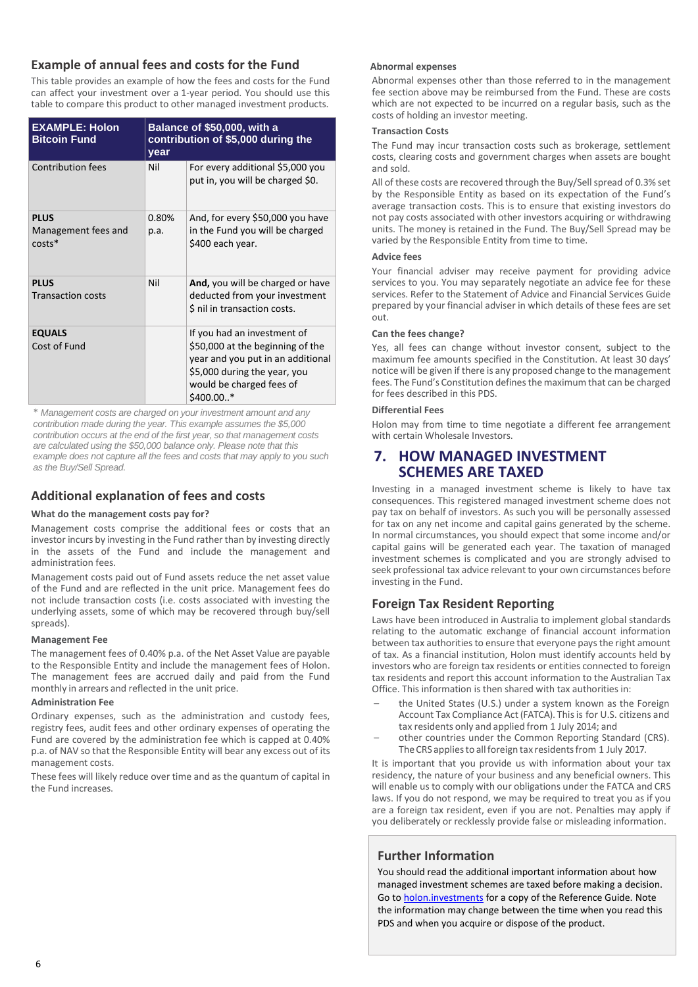# **Example of annual fees and costs for the Fund**

This table provides an example of how the fees and costs for the Fund can affect your investment over a 1-year period. You should use this table to compare this product to other managed investment products.

| <b>EXAMPLE: Holon</b><br><b>Bitcoin Fund</b>   | Balance of \$50,000, with a<br>contribution of \$5,000 during the<br>year |                                                                                                                                                                                 |  |
|------------------------------------------------|---------------------------------------------------------------------------|---------------------------------------------------------------------------------------------------------------------------------------------------------------------------------|--|
| <b>Contribution fees</b>                       | Nil                                                                       | For every additional \$5,000 you<br>put in, you will be charged \$0.                                                                                                            |  |
| <b>PLUS</b><br>Management fees and<br>$costs*$ | 0.80%<br>p.a.                                                             | And, for every \$50,000 you have<br>in the Fund you will be charged<br>\$400 each year.                                                                                         |  |
| <b>PLUS</b><br><b>Transaction costs</b>        | Nil                                                                       | And, you will be charged or have<br>deducted from your investment<br>\$ nil in transaction costs.                                                                               |  |
| <b>EQUALS</b><br>Cost of Fund                  |                                                                           | If you had an investment of<br>\$50,000 at the beginning of the<br>year and you put in an additional<br>\$5,000 during the year, you<br>would be charged fees of<br>$$400.00.*$ |  |

\* *Management costs are charged on your investment amount and any contribution made during the year. This example assumes the \$5,000 contribution occurs at the end of the first year, so that management costs are calculated using the \$50,000 balance only. Please note that this example does not capture all the fees and costs that may apply to you such as the Buy/Sell Spread.*

# **Additional explanation of fees and costs**

# **What do the management costs pay for?**

Management costs comprise the additional fees or costs that an investor incurs by investing in the Fund rather than by investing directly in the assets of the Fund and include the management and administration fees.

Management costs paid out of Fund assets reduce the net asset value of the Fund and are reflected in the unit price. Management fees do not include transaction costs (i.e. costs associated with investing the underlying assets, some of which may be recovered through buy/sell spreads).

# **Management Fee**

The management fees of 0.40% p.a. of the Net Asset Value are payable to the Responsible Entity and include the management fees of Holon. The management fees are accrued daily and paid from the Fund monthly in arrears and reflected in the unit price.

# **Administration Fee**

Ordinary expenses, such as the administration and custody fees, registry fees, audit fees and other ordinary expenses of operating the Fund are covered by the administration fee which is capped at 0.40% p.a. of NAV so that the Responsible Entity will bear any excess out of its management costs.

These fees will likely reduce over time and as the quantum of capital in the Fund increases.

# **Abnormal expenses**

Abnormal expenses other than those referred to in the management fee section above may be reimbursed from the Fund. These are costs which are not expected to be incurred on a regular basis, such as the costs of holding an investor meeting.

# **Transaction Costs**

The Fund may incur transaction costs such as brokerage, settlement costs, clearing costs and government charges when assets are bought and sold.

All of these costs are recovered through the Buy/Sell spread of 0.3% set by the Responsible Entity as based on its expectation of the Fund's average transaction costs. This is to ensure that existing investors do not pay costs associated with other investors acquiring or withdrawing units. The money is retained in the Fund. The Buy/Sell Spread may be varied by the Responsible Entity from time to time.

# **Advice fees**

Your financial adviser may receive payment for providing advice services to you. You may separately negotiate an advice fee for these services. Refer to the Statement of Advice and Financial Services Guide prepared by your financial adviser in which details of these fees are set out.

# **Can the fees change?**

Yes, all fees can change without investor consent, subject to the maximum fee amounts specified in the Constitution. At least 30 days' notice will be given if there is any proposed change to the management fees. The Fund's Constitution defines the maximum that can be charged for fees described in this PDS.

# **Differential Fees**

Holon may from time to time negotiate a different fee arrangement with certain Wholesale Investors.

# **7. HOW MANAGED INVESTMENT SCHEMES ARE TAXED**

Investing in a managed investment scheme is likely to have tax consequences. This registered managed investment scheme does not pay tax on behalf of investors. As such you will be personally assessed for tax on any net income and capital gains generated by the scheme. In normal circumstances, you should expect that some income and/or capital gains will be generated each year. The taxation of managed investment schemes is complicated and you are strongly advised to seek professional tax advice relevant to your own circumstances before investing in the Fund.

# **Foreign Tax Resident Reporting**

Laws have been introduced in Australia to implement global standards relating to the automatic exchange of financial account information between tax authorities to ensure that everyone pays the right amount of tax. As a financial institution, Holon must identify accounts held by investors who are foreign tax residents or entities connected to foreign tax residents and report this account information to the Australian Tax Office. This information is then shared with tax authorities in:

- the United States (U.S.) under a system known as the Foreign Account Tax Compliance Act (FATCA). This is for U.S. citizens and tax residents only and applied from 1 July 2014; and
- other countries under the Common Reporting Standard (CRS). The CRS applies to all foreign tax residents from 1 July 2017.

It is important that you provide us with information about your tax residency, the nature of your business and any beneficial owners. This will enable us to comply with our obligations under the FATCA and CRS laws. If you do not respond, we may be required to treat you as if you are a foreign tax resident, even if you are not. Penalties may apply if you deliberately or recklessly provide false or misleading information.

# **Further Information**

You should read the additional important information about how managed investment schemes are taxed before making a decision. Go t[o holon.investments](http://holon.investments/) for a copy of the Reference Guide. Note the information may change between the time when you read this PDS and when you acquire or dispose of the product.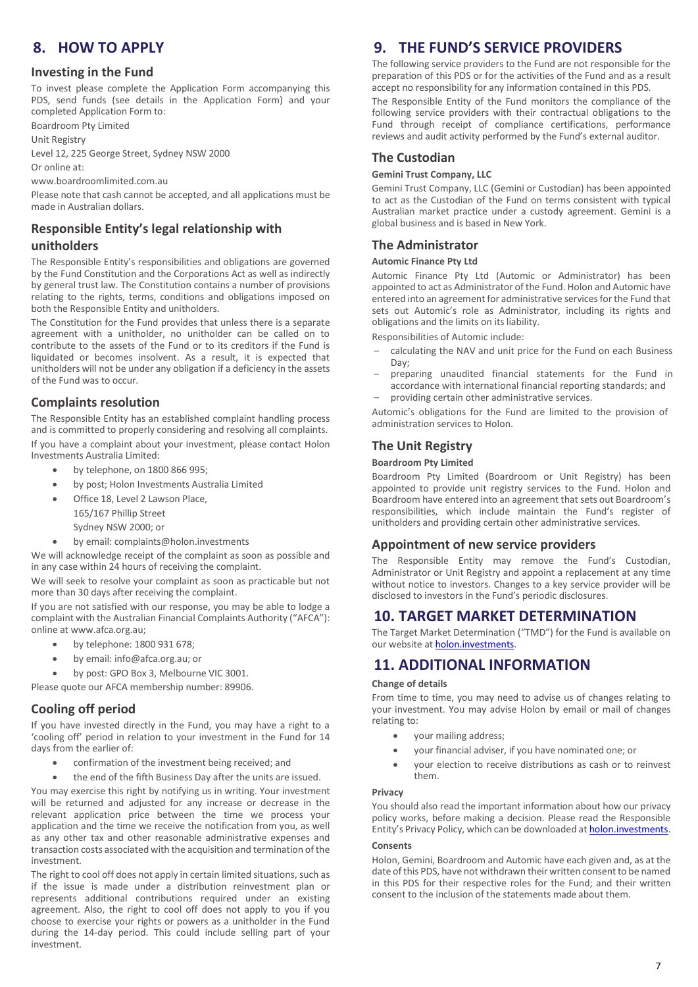# **8. HOW TO APPLY**

## **Investing in the Fund**

To invest please complete the Application Form accompanying this PDS, send funds (see details in the Application Form) and your completed Application Form to:

Boardroom Pty Limited

Unit Registry

Level 12, 225 George Street, Sydney NSW 2000

Or online at:

www.boardroomlimited.com.au

Please note that cash cannot be accepted, and all applications must be made in Australian dollars.

# **Responsible Entity's legal relationship with**

## **unitholders**

The Responsible Entity's responsibilities and obligations are governed by the Fund Constitution and the Corporations Act as well as indirectly by general trust law. The Constitution contains a number of provisions relating to the rights, terms, conditions and obligations imposed on both the Responsible Entity and unitholders.

The Constitution for the Fund provides that unless there is a separate agreement with a unitholder, no unitholder can be called on to contribute to the assets of the Fund or to its creditors if the Fund is liquidated or becomes insolvent. As a result, it is expected that unitholders will not be under any obligation if a deficiency in the assets of the Fund was to occur.

# **Complaints resolution**

The Responsible Entity has an established complaint handling process and is committed to properly considering and resolving all complaints. If you have a complaint about your investment, please contact Holon Investments Australia Limited:

- by telephone, on 1800 866 995;
- by post; Holon Investments Australia Limited
- Office 18, Level 2 Lawson Place,
	- 165/167 Phillip Street
	- Sydney NSW 2000; or
- by email: complaints@holon.investments

We will acknowledge receipt of the complaint as soon as possible and in any case within 24 hours of receiving the complaint.

We will seek to resolve your complaint as soon as practicable but not more than 30 days after receiving the complaint.

If you are not satisfied with our response, you may be able to lodge a complaint with the Australian Financial Complaints Authority ("AFCA"): online a[t www.afca.org.au;](http://www.afca.org.au/)

- by telephone: 1800 931 678;
- by email[: info@afca.org.au;](mailto:info@afca.org.au) or
- by post: GPO Box 3, Melbourne VIC 3001.

Please quote our AFCA membership number: 89906.

# **Cooling off period**

If you have invested directly in the Fund, you may have a right to a 'cooling off' period in relation to your investment in the Fund for 14 days from the earlier of:

- confirmation of the investment being received; and
- the end of the fifth Business Day after the units are issued.

You may exercise this right by notifying us in writing. Your investment will be returned and adjusted for any increase or decrease in the relevant application price between the time we process your application and the time we receive the notification from you, as well as any other tax and other reasonable administrative expenses and transaction costs associated with the acquisition and termination of the investment.

The right to cool off does not apply in certain limited situations, such as if the issue is made under a distribution reinvestment plan or represents additional contributions required under an existing agreement. Also, the right to cool off does not apply to you if you choose to exercise your rights or powers as a unitholder in the Fund during the 14-day period. This could include selling part of your investment.

# **9. THE FUND'S SERVICE PROVIDERS**

The following service providers to the Fund are not responsible for the preparation of this PDS or for the activities of the Fund and as a result accept no responsibility for any information contained in this PDS.

The Responsible Entity of the Fund monitors the compliance of the following service providers with their contractual obligations to the Fund through receipt of compliance certifications, performance reviews and audit activity performed by the Fund's external auditor.

## **The Custodian**

#### **Gemini Trust Company, LLC**

Gemini Trust Company, LLC (Gemini or Custodian) has been appointed to act as the Custodian of the Fund on terms consistent with typical Australian market practice under a custody agreement. Gemini is a global business and is based in New York.

# **The Administrator**

#### **Automic Finance Pty Ltd**

Automic Finance Pty Ltd (Automic or Administrator) has been appointed to act as Administrator of the Fund. Holon and Automic have entered into an agreement for administrative services for the Fund that sets out Automic's role as Administrator, including its rights and obligations and the limits on its liability.

Responsibilities of Automic include:

- calculating the NAV and unit price for the Fund on each Business Day;
- preparing unaudited financial statements for the Fund in accordance with international financial reporting standards; and
- providing certain other administrative services.

Automic's obligations for the Fund are limited to the provision of administration services to Holon.

# **The Unit Registry**

#### **Boardroom Pty Limited**

Boardroom Pty Limited (Boardroom or Unit Registry) has been appointed to provide unit registry services to the Fund. Holon and Boardroom have entered into an agreement that sets out Boardroom's responsibilities, which include maintain the Fund's register of unitholders and providing certain other administrative services.

## **Appointment of new service providers**

The Responsible Entity may remove the Fund's Custodian, Administrator or Unit Registry and appoint a replacement at any time without notice to investors. Changes to a key service provider will be disclosed to investors in the Fund's periodic disclosures.

# **10. TARGET MARKET DETERMINATION**

The Target Market Determination ("TMD") for the Fund is available on our website a[t holon.investments.](http://holon.investments/)

# **11. ADDITIONAL INFORMATION**

#### **Change of details**

From time to time, you may need to advise us of changes relating to your investment. You may advise Holon by email or mail of changes relating to:

- your mailing address;
- your financial adviser, if you have nominated one; or
- your election to receive distributions as cash or to reinvest them.

#### **Privacy**

You should also read the important information about how our privacy policy works, before making a decision. Please read the Responsible Entity's Privacy Policy, which can be downloaded at [holon.investments.](http://holon.investments/)

## **Consents**

Holon, Gemini, Boardroom and Automic have each given and, as at the date of this PDS, have not withdrawn their written consent to be named in this PDS for their respective roles for the Fund; and their written consent to the inclusion of the statements made about them.